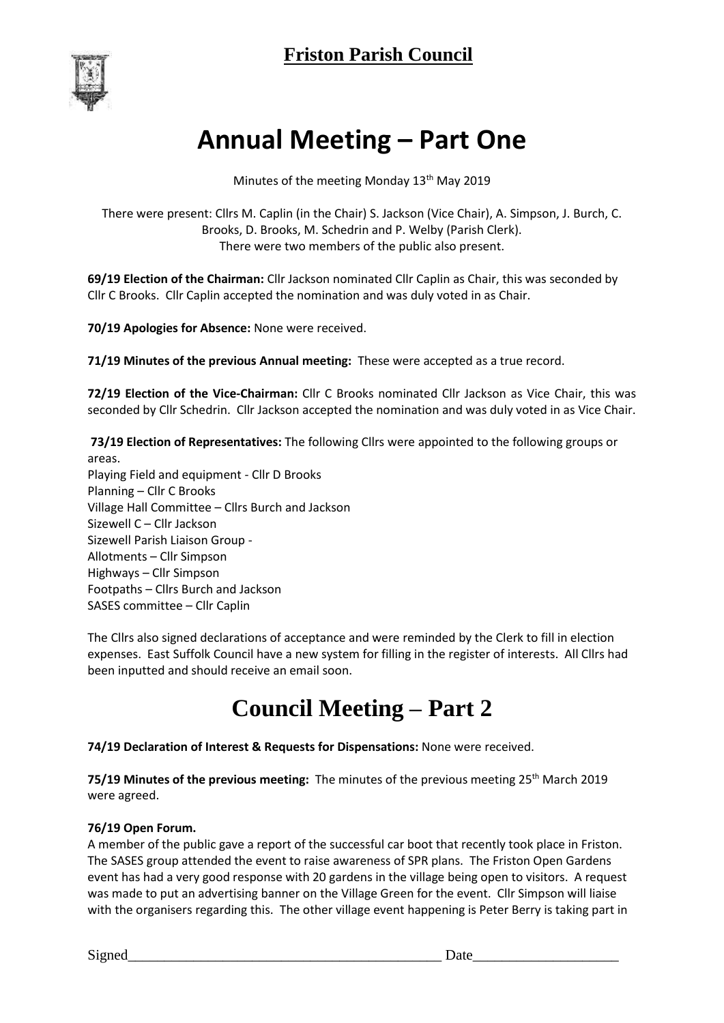

# **Annual Meeting – Part One**

Minutes of the meeting Monday 13<sup>th</sup> May 2019

There were present: Cllrs M. Caplin (in the Chair) S. Jackson (Vice Chair), A. Simpson, J. Burch, C. Brooks, D. Brooks, M. Schedrin and P. Welby (Parish Clerk). There were two members of the public also present.

**69/19 Election of the Chairman:** Cllr Jackson nominated Cllr Caplin as Chair, this was seconded by Cllr C Brooks. Cllr Caplin accepted the nomination and was duly voted in as Chair.

**70/19 Apologies for Absence:** None were received.

**71/19 Minutes of the previous Annual meeting:** These were accepted as a true record.

**72/19 Election of the Vice-Chairman:** Cllr C Brooks nominated Cllr Jackson as Vice Chair, this was seconded by Cllr Schedrin. Cllr Jackson accepted the nomination and was duly voted in as Vice Chair.

**73/19 Election of Representatives:** The following Cllrs were appointed to the following groups or areas. Playing Field and equipment - Cllr D Brooks Planning – Cllr C Brooks Village Hall Committee – Cllrs Burch and Jackson Sizewell C – Cllr Jackson Sizewell Parish Liaison Group - Allotments – Cllr Simpson Highways – Cllr Simpson Footpaths – Cllrs Burch and Jackson SASES committee – Cllr Caplin

The Cllrs also signed declarations of acceptance and were reminded by the Clerk to fill in election expenses. East Suffolk Council have a new system for filling in the register of interests. All Cllrs had been inputted and should receive an email soon.

## **Council Meeting – Part 2**

**74/19 Declaration of Interest & Requests for Dispensations:** None were received.

**75/19 Minutes of the previous meeting:** The minutes of the previous meeting 25<sup>th</sup> March 2019 were agreed.

### **76/19 Open Forum.**

A member of the public gave a report of the successful car boot that recently took place in Friston. The SASES group attended the event to raise awareness of SPR plans. The Friston Open Gardens event has had a very good response with 20 gardens in the village being open to visitors. A request was made to put an advertising banner on the Village Green for the event. Cllr Simpson will liaise with the organisers regarding this. The other village event happening is Peter Berry is taking part in

Signed\_\_\_\_\_\_\_\_\_\_\_\_\_\_\_\_\_\_\_\_\_\_\_\_\_\_\_\_\_\_\_\_\_\_\_\_\_\_\_\_\_\_\_ Date\_\_\_\_\_\_\_\_\_\_\_\_\_\_\_\_\_\_\_\_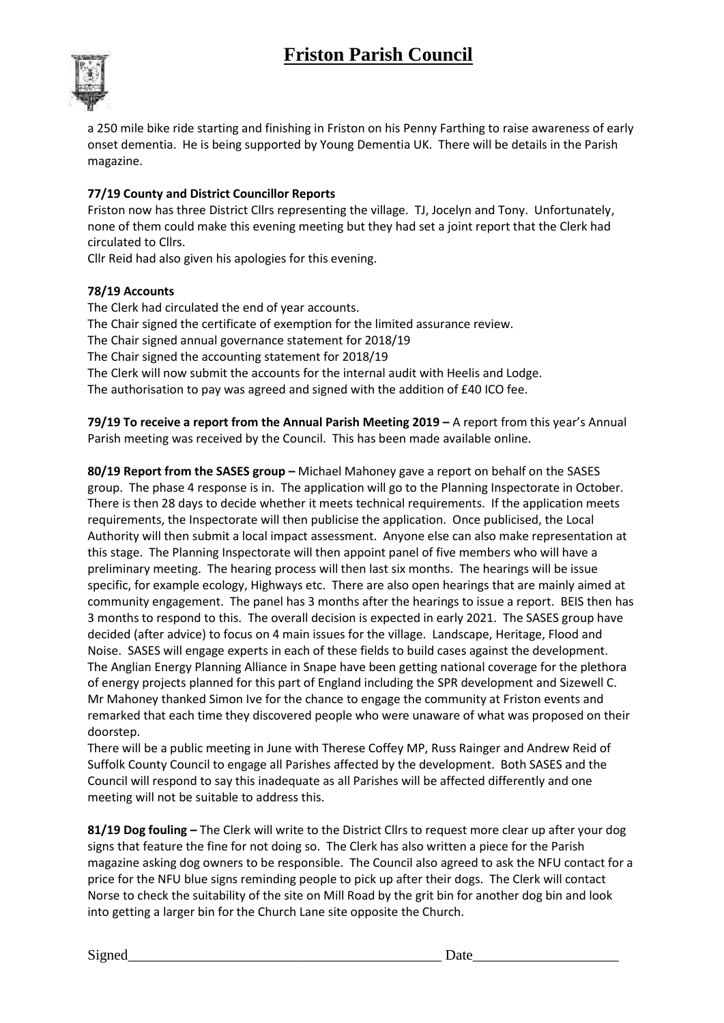### **Friston Parish Council**



a 250 mile bike ride starting and finishing in Friston on his Penny Farthing to raise awareness of early onset dementia. He is being supported by Young Dementia UK. There will be details in the Parish magazine.

#### **77/19 County and District Councillor Reports**

Friston now has three District Cllrs representing the village. TJ, Jocelyn and Tony. Unfortunately, none of them could make this evening meeting but they had set a joint report that the Clerk had circulated to Cllrs.

Cllr Reid had also given his apologies for this evening.

#### **78/19 Accounts**

The Clerk had circulated the end of year accounts. The Chair signed the certificate of exemption for the limited assurance review. The Chair signed annual governance statement for 2018/19 The Chair signed the accounting statement for 2018/19 The Clerk will now submit the accounts for the internal audit with Heelis and Lodge. The authorisation to pay was agreed and signed with the addition of £40 ICO fee.

**79/19 To receive a report from the Annual Parish Meeting 2019 – A report from this year's Annual** Parish meeting was received by the Council. This has been made available online.

**80/19 Report from the SASES group –** Michael Mahoney gave a report on behalf on the SASES group. The phase 4 response is in. The application will go to the Planning Inspectorate in October. There is then 28 days to decide whether it meets technical requirements. If the application meets requirements, the Inspectorate will then publicise the application. Once publicised, the Local Authority will then submit a local impact assessment. Anyone else can also make representation at this stage. The Planning Inspectorate will then appoint panel of five members who will have a preliminary meeting. The hearing process will then last six months. The hearings will be issue specific, for example ecology, Highways etc. There are also open hearings that are mainly aimed at community engagement. The panel has 3 months after the hearings to issue a report. BEIS then has 3 months to respond to this. The overall decision is expected in early 2021. The SASES group have decided (after advice) to focus on 4 main issues for the village. Landscape, Heritage, Flood and Noise. SASES will engage experts in each of these fields to build cases against the development. The Anglian Energy Planning Alliance in Snape have been getting national coverage for the plethora of energy projects planned for this part of England including the SPR development and Sizewell C. Mr Mahoney thanked Simon Ive for the chance to engage the community at Friston events and remarked that each time they discovered people who were unaware of what was proposed on their doorstep.

There will be a public meeting in June with Therese Coffey MP, Russ Rainger and Andrew Reid of Suffolk County Council to engage all Parishes affected by the development. Both SASES and the Council will respond to say this inadequate as all Parishes will be affected differently and one meeting will not be suitable to address this.

**81/19 Dog fouling –** The Clerk will write to the District Cllrs to request more clear up after your dog signs that feature the fine for not doing so. The Clerk has also written a piece for the Parish magazine asking dog owners to be responsible. The Council also agreed to ask the NFU contact for a price for the NFU blue signs reminding people to pick up after their dogs. The Clerk will contact Norse to check the suitability of the site on Mill Road by the grit bin for another dog bin and look into getting a larger bin for the Church Lane site opposite the Church.